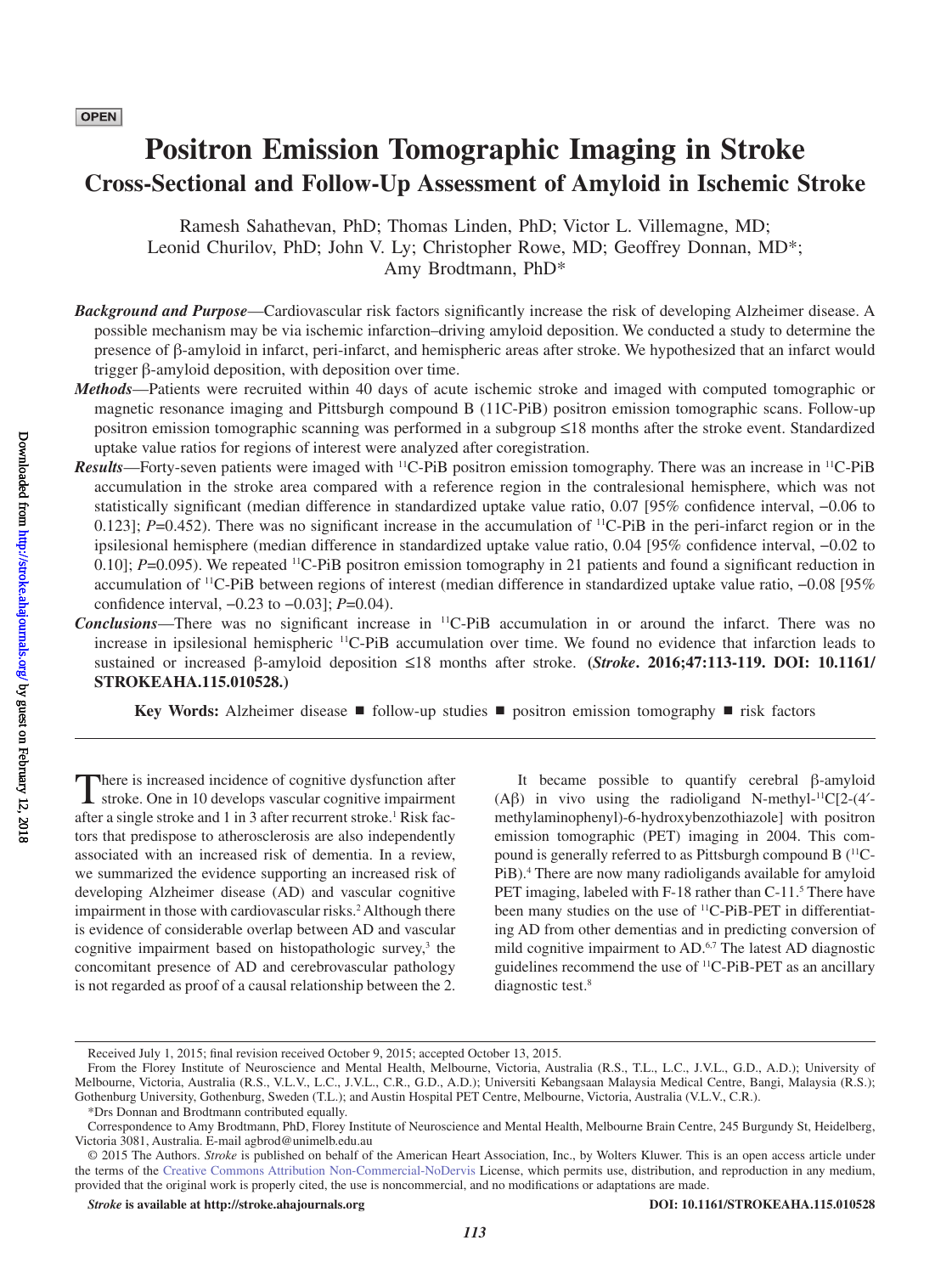# **Positron Emission Tomographic Imaging in Stroke Cross-Sectional and Follow-Up Assessment of Amyloid in Ischemic Stroke**

Ramesh Sahathevan, PhD; Thomas Linden, PhD; Victor L. Villemagne, MD; Leonid Churilov, PhD; John V. Ly; Christopher Rowe, MD; Geoffrey Donnan, MD\*; Amy Brodtmann, PhD\*

- *Background and Purpose*—Cardiovascular risk factors significantly increase the risk of developing Alzheimer disease. A possible mechanism may be via ischemic infarction–driving amyloid deposition. We conducted a study to determine the presence of β-amyloid in infarct, peri-infarct, and hemispheric areas after stroke. We hypothesized that an infarct would trigger β-amyloid deposition, with deposition over time.
- *Methods*—Patients were recruited within 40 days of acute ischemic stroke and imaged with computed tomographic or magnetic resonance imaging and Pittsburgh compound B (11C-PiB) positron emission tomographic scans. Follow-up positron emission tomographic scanning was performed in a subgroup ≤18 months after the stroke event. Standardized uptake value ratios for regions of interest were analyzed after coregistration.
- *Results*—Forty-seven patients were imaged with 11C-PiB positron emission tomography. There was an increase in 11C-PiB accumulation in the stroke area compared with a reference region in the contralesional hemisphere, which was not statistically significant (median difference in standardized uptake value ratio, 0.07 [95% confidence interval, −0.06 to 0.123];  $P=0.452$ ). There was no significant increase in the accumulation of <sup>11</sup>C-PiB in the peri-infarct region or in the ipsilesional hemisphere (median difference in standardized uptake value ratio, 0.04 [95% confidence interval, −0.02 to 0.10]; *P*=0.095). We repeated <sup>11</sup>C-PiB positron emission tomography in 21 patients and found a significant reduction in accumulation of 11C-PiB between regions of interest (median difference in standardized uptake value ratio, −0.08 [95% confidence interval, −0.23 to −0.03]; *P*=0.04).
- *Conclusions*—There was no significant increase in 11C-PiB accumulation in or around the infarct. There was no increase in ipsilesional hemispheric 11C-PiB accumulation over time. We found no evidence that infarction leads to sustained or increased β-amyloid deposition ≤18 months after stroke. **(***Stroke***. 2016;47:113-119. DOI: 10.1161/ STROKEAHA.115.010528.)**

**Key Words:** Alzheimer disease ■ follow-up studies ■ positron emission tomography ■ risk factors

There is increased incidence of cognitive dysfunction after stroke. One in 10 develops vascular cognitive impairment after a single stroke and 1 in 3 after recurrent stroke.<sup>1</sup> Risk factors that predispose to atherosclerosis are also independently associated with an increased risk of dementia. In a review, we summarized the evidence supporting an increased risk of developing Alzheimer disease (AD) and vascular cognitive impairment in those with cardiovascular risks.<sup>2</sup> Although there is evidence of considerable overlap between AD and vascular cognitive impairment based on histopathologic survey,<sup>3</sup> the concomitant presence of AD and cerebrovascular pathology is not regarded as proof of a causal relationship between the 2.

It became possible to quantify cerebral β-amyloid (Aβ) in vivo using the radioligand N-methyl-<sup>11</sup>C[2-(4<sup>'</sup>methylaminophenyl)-6-hydroxybenzothiazole] with positron emission tomographic (PET) imaging in 2004. This compound is generally referred to as Pittsburgh compound B (11C-PiB).<sup>4</sup> There are now many radioligands available for amyloid PET imaging, labeled with F-18 rather than C-11.<sup>5</sup> There have been many studies on the use of <sup>11</sup>C-PiB-PET in differentiating AD from other dementias and in predicting conversion of mild cognitive impairment to AD.<sup>6,7</sup> The latest AD diagnostic guidelines recommend the use of 11C-PiB-PET as an ancillary diagnostic test.<sup>8</sup>

Received July 1, 2015; final revision received October 9, 2015; accepted October 13, 2015.

From the Florey Institute of Neuroscience and Mental Health, Melbourne, Victoria, Australia (R.S., T.L., L.C., J.V.L., G.D., A.D.); University of Melbourne, Victoria, Australia (R.S., V.L.V., L.C., J.V.L., C.R., G.D., A.D.); Universiti Kebangsaan Malaysia Medical Centre, Bangi, Malaysia (R.S.); Gothenburg University, Gothenburg, Sweden (T.L.); and Austin Hospital PET Centre, Melbourne, Victoria, Australia (V.L.V., C.R.).

<sup>\*</sup>Drs Donnan and Brodtmann contributed equally.

Correspondence to Amy Brodtmann, PhD, Florey Institute of Neuroscience and Mental Health, Melbourne Brain Centre, 245 Burgundy St, Heidelberg, Victoria 3081, Australia. E-mail agbrod@unimelb.edu.au

<sup>© 2015</sup> The Authors. *Stroke* is published on behalf of the American Heart Association, Inc., by Wolters Kluwer. This is an open access article under the terms of the Creative Commons Attribution Non-Commercial-NoDervis License, which permits use, distribution, and reproduction in any medium, provided that the original work is properly cited, the use is noncommercial, and no modifications or adaptations are made.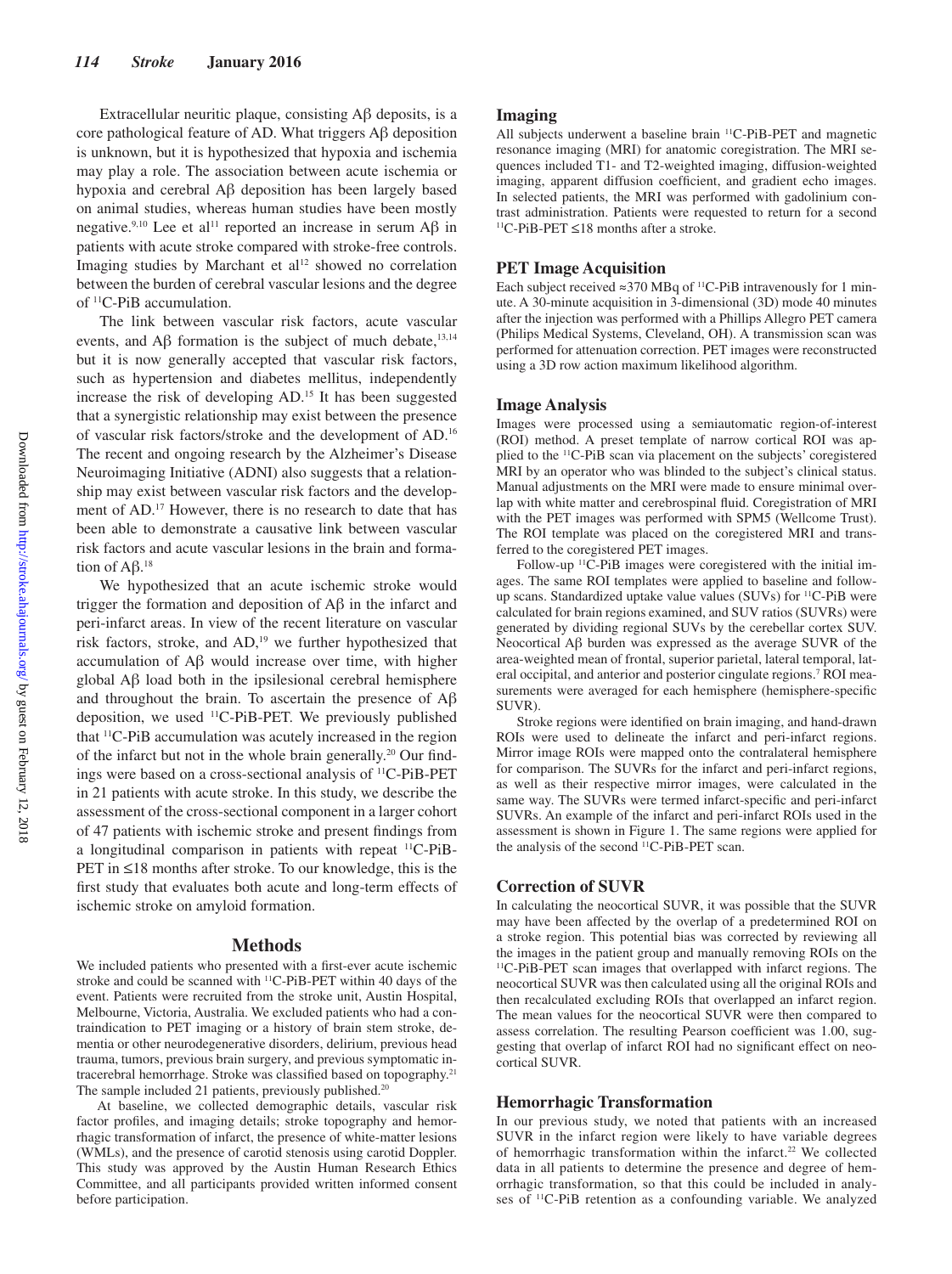Extracellular neuritic plaque, consisting Aβ deposits, is a core pathological feature of AD. What triggers Aβ deposition is unknown, but it is hypothesized that hypoxia and ischemia may play a role. The association between acute ischemia or hypoxia and cerebral Aβ deposition has been largely based on animal studies, whereas human studies have been mostly negative.<sup>9,10</sup> Lee et al<sup>11</sup> reported an increase in serum Aβ in patients with acute stroke compared with stroke-free controls. Imaging studies by Marchant et al<sup>12</sup> showed no correlation between the burden of cerebral vascular lesions and the degree of 11C-PiB accumulation.

The link between vascular risk factors, acute vascular events, and  $\text{A}\beta$  formation is the subject of much debate,<sup>13,14</sup> but it is now generally accepted that vascular risk factors, such as hypertension and diabetes mellitus, independently increase the risk of developing AD.15 It has been suggested that a synergistic relationship may exist between the presence of vascular risk factors/stroke and the development of AD.16 The recent and ongoing research by the Alzheimer's Disease Neuroimaging Initiative (ADNI) also suggests that a relationship may exist between vascular risk factors and the development of AD.<sup>17</sup> However, there is no research to date that has been able to demonstrate a causative link between vascular risk factors and acute vascular lesions in the brain and formation of Aβ.<sup>18</sup>

We hypothesized that an acute ischemic stroke would trigger the formation and deposition of Aβ in the infarct and peri-infarct areas. In view of the recent literature on vascular risk factors, stroke, and AD,<sup>19</sup> we further hypothesized that accumulation of Aβ would increase over time, with higher global Aβ load both in the ipsilesional cerebral hemisphere and throughout the brain. To ascertain the presence of Aβ deposition, we used 11C-PiB-PET. We previously published that 11C-PiB accumulation was acutely increased in the region of the infarct but not in the whole brain generally.20 Our findings were based on a cross-sectional analysis of 11C-PiB-PET in 21 patients with acute stroke. In this study, we describe the assessment of the cross-sectional component in a larger cohort of 47 patients with ischemic stroke and present findings from a longitudinal comparison in patients with repeat 11C-PiB-PET in ≤18 months after stroke. To our knowledge, this is the first study that evaluates both acute and long-term effects of ischemic stroke on amyloid formation.

#### **Methods**

We included patients who presented with a first-ever acute ischemic stroke and could be scanned with 11C-PiB-PET within 40 days of the event. Patients were recruited from the stroke unit, Austin Hospital, Melbourne, Victoria, Australia. We excluded patients who had a contraindication to PET imaging or a history of brain stem stroke, dementia or other neurodegenerative disorders, delirium, previous head trauma, tumors, previous brain surgery, and previous symptomatic intracerebral hemorrhage. Stroke was classified based on topography.21 The sample included 21 patients, previously published.<sup>20</sup>

At baseline, we collected demographic details, vascular risk factor profiles, and imaging details; stroke topography and hemorrhagic transformation of infarct, the presence of white-matter lesions (WMLs), and the presence of carotid stenosis using carotid Doppler. This study was approved by the Austin Human Research Ethics Committee, and all participants provided written informed consent before participation.

## **Imaging**

All subjects underwent a baseline brain <sup>11</sup>C-PiB-PET and magnetic resonance imaging (MRI) for anatomic coregistration. The MRI sequences included T1- and T2-weighted imaging, diffusion-weighted imaging, apparent diffusion coefficient, and gradient echo images. In selected patients, the MRI was performed with gadolinium contrast administration. Patients were requested to return for a second 11C-PiB-PET ≤18 months after a stroke.

## **PET Image Acquisition**

Each subject received ≈370 MBq of 11C-PiB intravenously for 1 minute. A 30-minute acquisition in 3-dimensional (3D) mode 40 minutes after the injection was performed with a Phillips Allegro PET camera (Philips Medical Systems, Cleveland, OH). A transmission scan was performed for attenuation correction. PET images were reconstructed using a 3D row action maximum likelihood algorithm.

## **Image Analysis**

Images were processed using a semiautomatic region-of-interest (ROI) method. A preset template of narrow cortical ROI was applied to the 11C-PiB scan via placement on the subjects' coregistered MRI by an operator who was blinded to the subject's clinical status. Manual adjustments on the MRI were made to ensure minimal overlap with white matter and cerebrospinal fluid. Coregistration of MRI with the PET images was performed with SPM5 (Wellcome Trust). The ROI template was placed on the coregistered MRI and transferred to the coregistered PET images.

Follow-up <sup>11</sup>C-PiB images were coregistered with the initial images. The same ROI templates were applied to baseline and followup scans. Standardized uptake value values (SUVs) for 11C-PiB were calculated for brain regions examined, and SUV ratios (SUVRs) were generated by dividing regional SUVs by the cerebellar cortex SUV. Neocortical Aβ burden was expressed as the average SUVR of the area-weighted mean of frontal, superior parietal, lateral temporal, lateral occipital, and anterior and posterior cingulate regions.7 ROI measurements were averaged for each hemisphere (hemisphere-specific SUVR).

Stroke regions were identified on brain imaging, and hand-drawn ROIs were used to delineate the infarct and peri-infarct regions. Mirror image ROIs were mapped onto the contralateral hemisphere for comparison. The SUVRs for the infarct and peri-infarct regions, as well as their respective mirror images, were calculated in the same way. The SUVRs were termed infarct-specific and peri-infarct SUVRs. An example of the infarct and peri-infarct ROIs used in the assessment is shown in Figure 1. The same regions were applied for the analysis of the second <sup>11</sup>C-PiB-PET scan.

#### **Correction of SUVR**

In calculating the neocortical SUVR, it was possible that the SUVR may have been affected by the overlap of a predetermined ROI on a stroke region. This potential bias was corrected by reviewing all the images in the patient group and manually removing ROIs on the 11C-PiB-PET scan images that overlapped with infarct regions. The neocortical SUVR was then calculated using all the original ROIs and then recalculated excluding ROIs that overlapped an infarct region. The mean values for the neocortical SUVR were then compared to assess correlation. The resulting Pearson coefficient was 1.00, suggesting that overlap of infarct ROI had no significant effect on neocortical SUVR.

#### **Hemorrhagic Transformation**

In our previous study, we noted that patients with an increased SUVR in the infarct region were likely to have variable degrees of hemorrhagic transformation within the infarct.<sup>22</sup> We collected data in all patients to determine the presence and degree of hemorrhagic transformation, so that this could be included in analyses of 11C-PiB retention as a confounding variable. We analyzed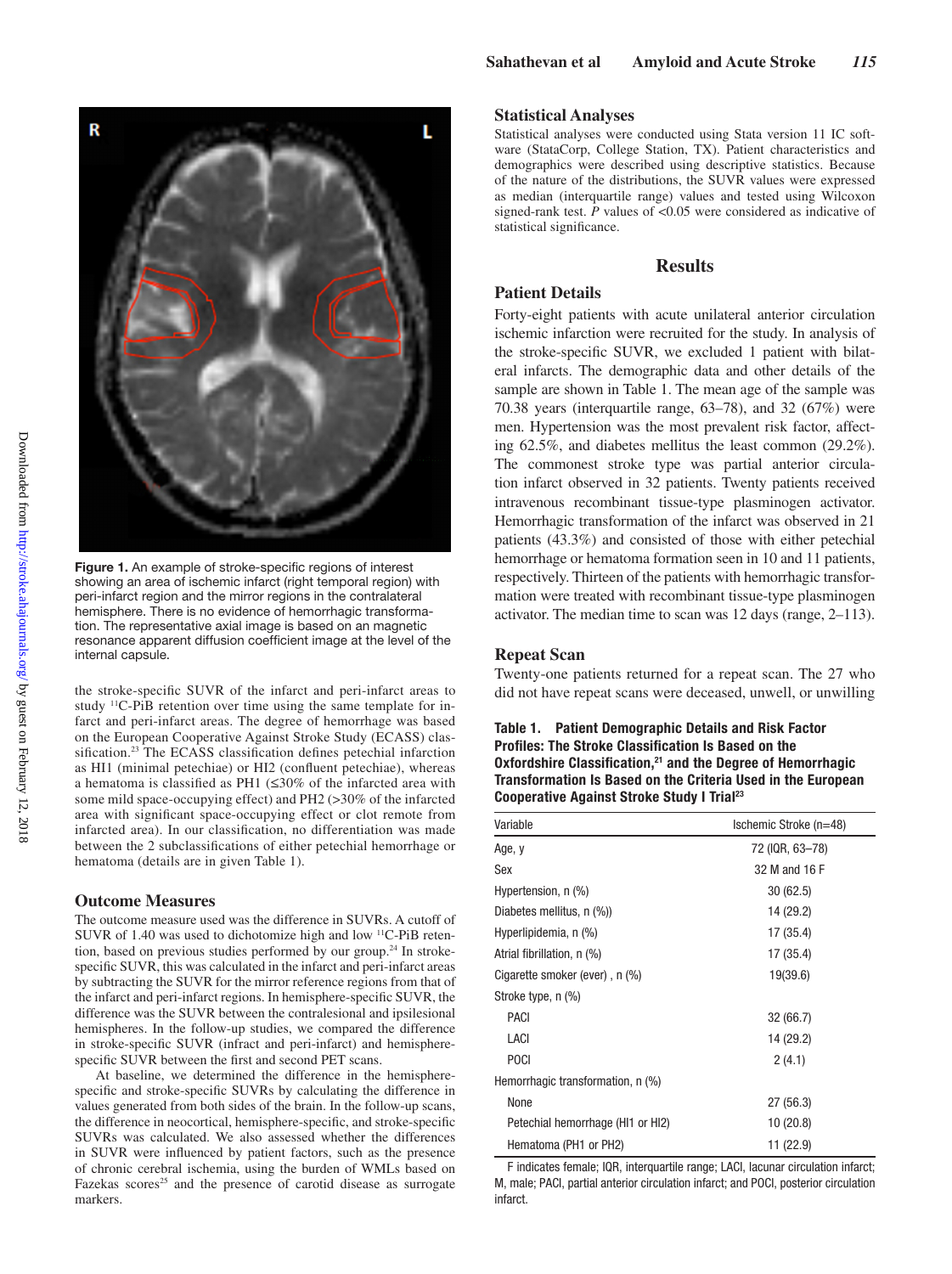

showing an area of ischemic infarct (right temporal region) with peri-infarct region and the mirror regions in the contralateral hemisphere. There is no evidence of hemorrhagic transformation. The representative axial image is based on an magnetic resonance apparent diffusion coefficient image at the level of the internal capsule.

the stroke-specific SUVR of the infarct and peri-infarct areas to study 11C-PiB retention over time using the same template for infarct and peri-infarct areas. The degree of hemorrhage was based on the European Cooperative Against Stroke Study (ECASS) classification.<sup>23</sup> The ECASS classification defines petechial infarction as HI1 (minimal petechiae) or HI2 (confluent petechiae), whereas a hematoma is classified as PH1 (≤30% of the infarcted area with some mild space-occupying effect) and PH2 (>30% of the infarcted area with significant space-occupying effect or clot remote from infarcted area). In our classification, no differentiation was made between the 2 subclassifications of either petechial hemorrhage or hematoma (details are in given Table 1).

#### **Outcome Measures**

The outcome measure used was the difference in SUVRs. A cutoff of SUVR of 1.40 was used to dichotomize high and low 11C-PiB retention, based on previous studies performed by our group.<sup>24</sup> In strokespecific SUVR, this was calculated in the infarct and peri-infarct areas by subtracting the SUVR for the mirror reference regions from that of the infarct and peri-infarct regions. In hemisphere-specific SUVR, the difference was the SUVR between the contralesional and ipsilesional hemispheres. In the follow-up studies, we compared the difference in stroke-specific SUVR (infract and peri-infarct) and hemispherespecific SUVR between the first and second PET scans.

At baseline, we determined the difference in the hemispherespecific and stroke-specific SUVRs by calculating the difference in values generated from both sides of the brain. In the follow-up scans, the difference in neocortical, hemisphere-specific, and stroke-specific SUVRs was calculated. We also assessed whether the differences in SUVR were influenced by patient factors, such as the presence of chronic cerebral ischemia, using the burden of WMLs based on Fazekas scores<sup>25</sup> and the presence of carotid disease as surrogate markers.

#### **Statistical Analyses**

Statistical analyses were conducted using Stata version 11 IC software (StataCorp, College Station, TX). Patient characteristics and demographics were described using descriptive statistics. Because of the nature of the distributions, the SUVR values were expressed as median (interquartile range) values and tested using Wilcoxon signed-rank test. *P* values of <0.05 were considered as indicative of statistical significance.

#### **Results**

#### **Patient Details**

Forty-eight patients with acute unilateral anterior circulation ischemic infarction were recruited for the study. In analysis of the stroke-specific SUVR, we excluded 1 patient with bilateral infarcts. The demographic data and other details of the sample are shown in Table 1. The mean age of the sample was 70.38 years (interquartile range, 63–78), and 32 (67%) were men. Hypertension was the most prevalent risk factor, affecting 62.5%, and diabetes mellitus the least common (29.2%). The commonest stroke type was partial anterior circulation infarct observed in 32 patients. Twenty patients received intravenous recombinant tissue-type plasminogen activator. Hemorrhagic transformation of the infarct was observed in 21 patients (43.3%) and consisted of those with either petechial hemorrhage or hematoma formation seen in 10 and 11 patients, respectively. Thirteen of the patients with hemorrhagic transformation were treated with recombinant tissue-type plasminogen activator. The median time to scan was 12 days (range, 2–113).

### **Repeat Scan**

Twenty-one patients returned for a repeat scan. The 27 who did not have repeat scans were deceased, unwell, or unwilling

## **Table 1. Patient Demographic Details and Risk Factor Profiles: The Stroke Classification Is Based on the Oxfordshire Classification,<sup>21</sup> and the Degree of Hemorrhagic Transformation Is Based on the Criteria Used in the European Cooperative Against Stroke Study I Trial23**

| Variable                          | Ischemic Stroke (n=48) |
|-----------------------------------|------------------------|
| Age, y                            | 72 (IQR, 63-78)        |
| Sex                               | 32 M and 16 F          |
| Hypertension, n (%)               | 30(62.5)               |
| Diabetes mellitus, n (%))         | 14 (29.2)              |
| Hyperlipidemia, n (%)             | 17 (35.4)              |
| Atrial fibrillation, n (%)        | 17 (35.4)              |
| Cigarette smoker (ever), n (%)    | 19(39.6)               |
| Stroke type, n (%)                |                        |
| PACI                              | 32 (66.7)              |
| LACI                              | 14 (29.2)              |
| <b>POCI</b>                       | 2(4.1)                 |
| Hemorrhagic transformation, n (%) |                        |
| None                              | 27 (56.3)              |
| Petechial hemorrhage (HI1 or HI2) | 10(20.8)               |
| Hematoma (PH1 or PH2)             | 11 (22.9)              |

F indicates female; IQR, interquartile range; LACI, lacunar circulation infarct; M, male; PACI, partial anterior circulation infarct; and POCI, posterior circulation infarct.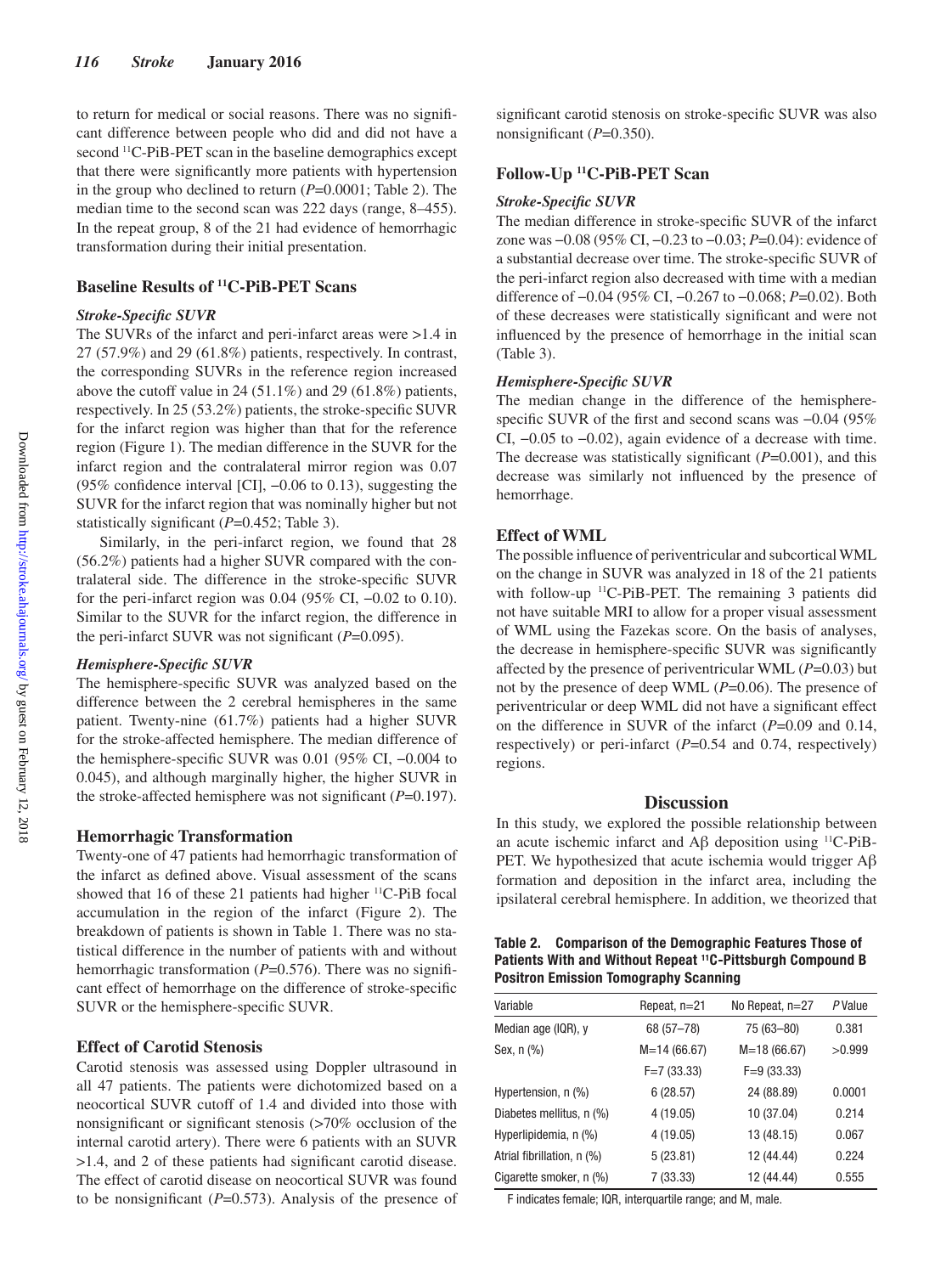to return for medical or social reasons. There was no significant difference between people who did and did not have a second <sup>11</sup>C-PiB-PET scan in the baseline demographics except that there were significantly more patients with hypertension in the group who declined to return (*P*=0.0001; Table 2). The median time to the second scan was 222 days (range, 8–455). In the repeat group, 8 of the 21 had evidence of hemorrhagic transformation during their initial presentation.

# **Baseline Results of 11C-PiB-PET Scans**

## *Stroke-Specific SUVR*

The SUVRs of the infarct and peri-infarct areas were >1.4 in 27 (57.9%) and 29 (61.8%) patients, respectively. In contrast, the corresponding SUVRs in the reference region increased above the cutoff value in 24 (51.1%) and 29 (61.8%) patients, respectively. In 25 (53.2%) patients, the stroke-specific SUVR for the infarct region was higher than that for the reference region (Figure 1). The median difference in the SUVR for the infarct region and the contralateral mirror region was 0.07 (95% confidence interval [CI], −0.06 to 0.13), suggesting the SUVR for the infarct region that was nominally higher but not statistically significant (*P*=0.452; Table 3).

Similarly, in the peri-infarct region, we found that 28 (56.2%) patients had a higher SUVR compared with the contralateral side. The difference in the stroke-specific SUVR for the peri-infarct region was  $0.04$  (95% CI,  $-0.02$  to 0.10). Similar to the SUVR for the infarct region, the difference in the peri-infarct SUVR was not significant (*P*=0.095).

## *Hemisphere-Specific SUVR*

The hemisphere-specific SUVR was analyzed based on the difference between the 2 cerebral hemispheres in the same patient. Twenty-nine (61.7%) patients had a higher SUVR for the stroke-affected hemisphere. The median difference of the hemisphere-specific SUVR was 0.01 (95% CI, −0.004 to 0.045), and although marginally higher, the higher SUVR in the stroke-affected hemisphere was not significant (*P*=0.197).

#### **Hemorrhagic Transformation**

Twenty-one of 47 patients had hemorrhagic transformation of the infarct as defined above. Visual assessment of the scans showed that 16 of these 21 patients had higher <sup>11</sup>C-PiB focal accumulation in the region of the infarct (Figure 2). The breakdown of patients is shown in Table 1. There was no statistical difference in the number of patients with and without hemorrhagic transformation (*P*=0.576). There was no significant effect of hemorrhage on the difference of stroke-specific SUVR or the hemisphere-specific SUVR.

## **Effect of Carotid Stenosis**

Carotid stenosis was assessed using Doppler ultrasound in all 47 patients. The patients were dichotomized based on a neocortical SUVR cutoff of 1.4 and divided into those with nonsignificant or significant stenosis (>70% occlusion of the internal carotid artery). There were 6 patients with an SUVR >1.4, and 2 of these patients had significant carotid disease. The effect of carotid disease on neocortical SUVR was found to be nonsignificant (*P*=0.573). Analysis of the presence of

significant carotid stenosis on stroke-specific SUVR was also nonsignificant (*P*=0.350).

## **Follow-Up 11C-PiB-PET Scan**

#### *Stroke-Specific SUVR*

The median difference in stroke-specific SUVR of the infarct zone was −0.08 (95% CI, −0.23 to −0.03; *P*=0.04): evidence of a substantial decrease over time. The stroke-specific SUVR of the peri-infarct region also decreased with time with a median difference of −0.04 (95% CI, −0.267 to −0.068; *P*=0.02). Both of these decreases were statistically significant and were not influenced by the presence of hemorrhage in the initial scan (Table 3).

## *Hemisphere-Specific SUVR*

The median change in the difference of the hemispherespecific SUVR of the first and second scans was  $-0.04$  (95% CI, −0.05 to −0.02), again evidence of a decrease with time. The decrease was statistically significant (*P*=0.001), and this decrease was similarly not influenced by the presence of hemorrhage.

## **Effect of WML**

The possible influence of periventricular and subcortical WML on the change in SUVR was analyzed in 18 of the 21 patients with follow-up 11C-PiB-PET. The remaining 3 patients did not have suitable MRI to allow for a proper visual assessment of WML using the Fazekas score. On the basis of analyses, the decrease in hemisphere-specific SUVR was significantly affected by the presence of periventricular WML (*P*=0.03) but not by the presence of deep WML (*P*=0.06). The presence of periventricular or deep WML did not have a significant effect on the difference in SUVR of the infarct (*P*=0.09 and 0.14, respectively) or peri-infarct (*P*=0.54 and 0.74, respectively) regions.

## **Discussion**

In this study, we explored the possible relationship between an acute ischemic infarct and Aβ deposition using 11C-PiB-PET. We hypothesized that acute ischemia would trigger Aβ formation and deposition in the infarct area, including the ipsilateral cerebral hemisphere. In addition, we theorized that

| Table 2. Comparison of the Demographic Features Those of               |
|------------------------------------------------------------------------|
| Patients With and Without Repeat <sup>11</sup> C-Pittsburgh Compound B |
| <b>Positron Emission Tomography Scanning</b>                           |

| Repeat, n=21  | No Repeat, n=27 | PValue |
|---------------|-----------------|--------|
| 68 (57-78)    | 75 (63-80)      | 0.381  |
| $M=14(66.67)$ | $M=18(66.67)$   | >0.999 |
| $F=7(33.33)$  | $F=9(33.33)$    |        |
| 6(28.57)      | 24 (88.89)      | 0.0001 |
| 4 (19.05)     | 10 (37.04)      | 0.214  |
| 4 (19.05)     | 13 (48.15)      | 0.067  |
| 5(23.81)      | 12 (44.44)      | 0.224  |
| 7 (33.33)     | 12 (44.44)      | 0.555  |
|               |                 |        |

F indicates female; IQR, interquartile range; and M, male.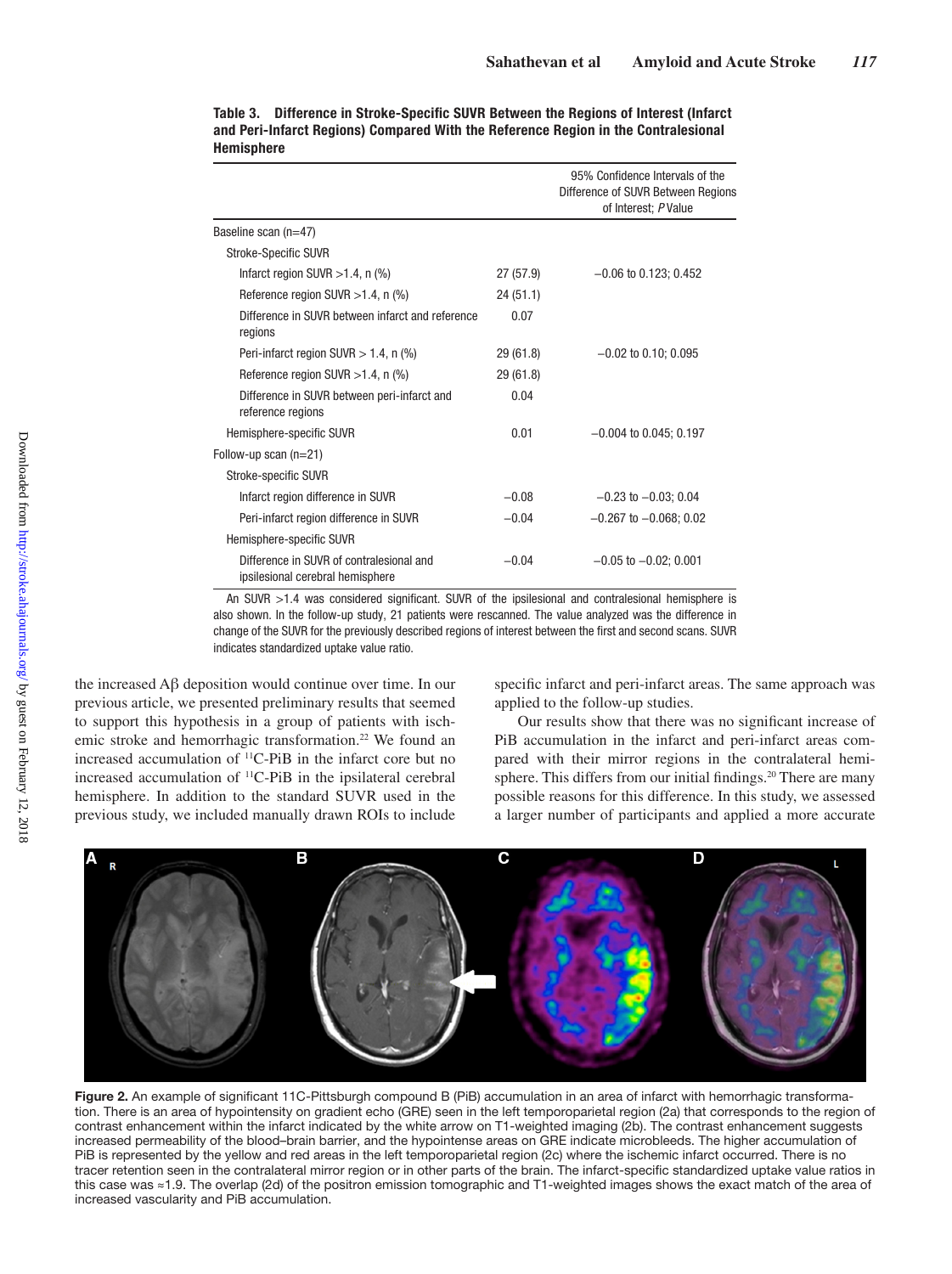|                                                                              |           | 95% Confidence Intervals of the<br>Difference of SUVR Between Regions<br>of Interest; P Value |
|------------------------------------------------------------------------------|-----------|-----------------------------------------------------------------------------------------------|
| Baseline scan (n=47)                                                         |           |                                                                                               |
| <b>Stroke-Specific SUVR</b>                                                  |           |                                                                                               |
| Infarct region SUVR $>1.4$ , n $(\%)$                                        | 27 (57.9) | $-0.06$ to 0.123; 0.452                                                                       |
| Reference region SUVR $>1.4$ , n (%)                                         | 24 (51.1) |                                                                                               |
| Difference in SUVR between infarct and reference<br>regions                  | 0.07      |                                                                                               |
| Peri-infarct region SUVR $> 1.4$ , n (%)                                     | 29 (61.8) | $-0.02$ to 0.10; 0.095                                                                        |
| Reference region SUVR $>1.4$ , n (%)                                         | 29 (61.8) |                                                                                               |
| Difference in SUVR between peri-infarct and<br>reference regions             | 0.04      |                                                                                               |
| Hemisphere-specific SUVR                                                     | 0.01      | $-0.004$ to 0.045; 0.197                                                                      |
| Follow-up scan $(n=21)$                                                      |           |                                                                                               |
| Stroke-specific SUVR                                                         |           |                                                                                               |
| Infarct region difference in SUVR                                            | $-0.08$   | $-0.23$ to $-0.03$ : 0.04                                                                     |
| Peri-infarct region difference in SUVR                                       | $-0.04$   | $-0.267$ to $-0.068$ ; 0.02                                                                   |
| Hemisphere-specific SUVR                                                     |           |                                                                                               |
| Difference in SUVR of contralesional and<br>ipsilesional cerebral hemisphere | $-0.04$   | $-0.05$ to $-0.02$ ; 0.001                                                                    |

**Table 3. Difference in Stroke-Specific SUVR Between the Regions of Interest (Infarct and Peri-Infarct Regions) Compared With the Reference Region in the Contralesional Hemisphere**

An SUVR >1.4 was considered significant. SUVR of the ipsilesional and contralesional hemisphere is also shown. In the follow-up study, 21 patients were rescanned. The value analyzed was the difference in change of the SUVR for the previously described regions of interest between the first and second scans. SUVR indicates standardized uptake value ratio.

the increased Aβ deposition would continue over time. In our previous article, we presented preliminary results that seemed to support this hypothesis in a group of patients with ischemic stroke and hemorrhagic transformation.<sup>22</sup> We found an increased accumulation of 11C-PiB in the infarct core but no increased accumulation of 11C-PiB in the ipsilateral cerebral hemisphere. In addition to the standard SUVR used in the previous study, we included manually drawn ROIs to include

specific infarct and peri-infarct areas. The same approach was applied to the follow-up studies.

Our results show that there was no significant increase of PiB accumulation in the infarct and peri-infarct areas compared with their mirror regions in the contralateral hemisphere. This differs from our initial findings.<sup>20</sup> There are many possible reasons for this difference. In this study, we assessed a larger number of participants and applied a more accurate



**Figure 2.** An example of significant 11C-Pittsburgh compound B (PiB) accumulation in an area of infarct with hemorrhagic transformation. There is an area of hypointensity on gradient echo (GRE) seen in the left temporoparietal region (2a) that corresponds to the region of contrast enhancement within the infarct indicated by the white arrow on T1-weighted imaging (2b). The contrast enhancement suggests increased permeability of the blood–brain barrier, and the hypointense areas on GRE indicate microbleeds. The higher accumulation of PiB is represented by the yellow and red areas in the left temporoparietal region (2c) where the ischemic infarct occurred. There is no tracer retention seen in the contralateral mirror region or in other parts of the brain. The infarct-specific standardized uptake value ratios in this case was ≈1.9. The overlap (2d) of the positron emission tomographic and T1-weighted images shows the exact match of the area of increased vascularity and PiB accumulation.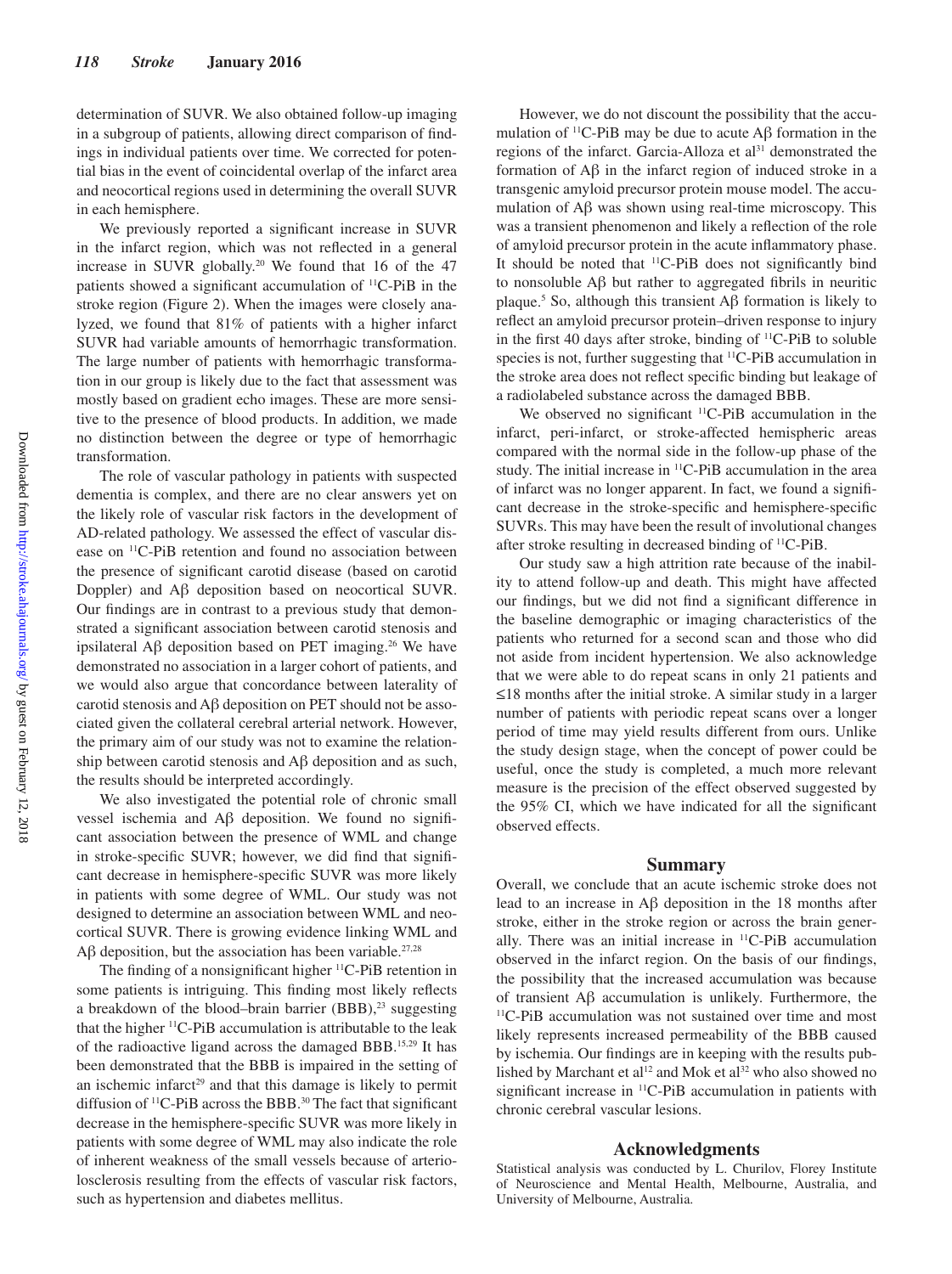determination of SUVR. We also obtained follow-up imaging in a subgroup of patients, allowing direct comparison of findings in individual patients over time. We corrected for potential bias in the event of coincidental overlap of the infarct area and neocortical regions used in determining the overall SUVR in each hemisphere.

We previously reported a significant increase in SUVR in the infarct region, which was not reflected in a general increase in SUVR globally.20 We found that 16 of the 47 patients showed a significant accumulation of 11C-PiB in the stroke region (Figure 2). When the images were closely analyzed, we found that 81% of patients with a higher infarct SUVR had variable amounts of hemorrhagic transformation. The large number of patients with hemorrhagic transformation in our group is likely due to the fact that assessment was mostly based on gradient echo images. These are more sensitive to the presence of blood products. In addition, we made no distinction between the degree or type of hemorrhagic transformation.

The role of vascular pathology in patients with suspected dementia is complex, and there are no clear answers yet on the likely role of vascular risk factors in the development of AD-related pathology. We assessed the effect of vascular disease on 11C-PiB retention and found no association between the presence of significant carotid disease (based on carotid Doppler) and Aβ deposition based on neocortical SUVR. Our findings are in contrast to a previous study that demonstrated a significant association between carotid stenosis and ipsilateral Aβ deposition based on PET imaging.<sup>26</sup> We have demonstrated no association in a larger cohort of patients, and we would also argue that concordance between laterality of carotid stenosis and Aβ deposition on PET should not be associated given the collateral cerebral arterial network. However, the primary aim of our study was not to examine the relationship between carotid stenosis and Aβ deposition and as such, the results should be interpreted accordingly.

We also investigated the potential role of chronic small vessel ischemia and Aβ deposition. We found no significant association between the presence of WML and change in stroke-specific SUVR; however, we did find that significant decrease in hemisphere-specific SUVR was more likely in patients with some degree of WML. Our study was not designed to determine an association between WML and neocortical SUVR. There is growing evidence linking WML and Aβ deposition, but the association has been variable.<sup>27,28</sup>

The finding of a nonsignificant higher <sup>11</sup>C-PiB retention in some patients is intriguing. This finding most likely reflects a breakdown of the blood–brain barrier (BBB),<sup>23</sup> suggesting that the higher 11C-PiB accumulation is attributable to the leak of the radioactive ligand across the damaged BBB.15,29 It has been demonstrated that the BBB is impaired in the setting of an ischemic infarct<sup>29</sup> and that this damage is likely to permit diffusion of <sup>11</sup>C-PiB across the BBB.<sup>30</sup> The fact that significant decrease in the hemisphere-specific SUVR was more likely in patients with some degree of WML may also indicate the role of inherent weakness of the small vessels because of arteriolosclerosis resulting from the effects of vascular risk factors, such as hypertension and diabetes mellitus.

However, we do not discount the possibility that the accumulation of <sup>11</sup>C-PiB may be due to acute  $\mathbf{A}\beta$  formation in the regions of the infarct. Garcia-Alloza et al<sup>31</sup> demonstrated the formation of Aβ in the infarct region of induced stroke in a transgenic amyloid precursor protein mouse model. The accumulation of Aβ was shown using real-time microscopy. This was a transient phenomenon and likely a reflection of the role of amyloid precursor protein in the acute inflammatory phase. It should be noted that 11C-PiB does not significantly bind to nonsoluble Aβ but rather to aggregated fibrils in neuritic plaque.5 So, although this transient Aβ formation is likely to reflect an amyloid precursor protein–driven response to injury in the first 40 days after stroke, binding of  $^{11}$ C-PiB to soluble species is not, further suggesting that 11C-PiB accumulation in the stroke area does not reflect specific binding but leakage of a radiolabeled substance across the damaged BBB.

We observed no significant <sup>11</sup>C-PiB accumulation in the infarct, peri-infarct, or stroke-affected hemispheric areas compared with the normal side in the follow-up phase of the study. The initial increase in 11C-PiB accumulation in the area of infarct was no longer apparent. In fact, we found a significant decrease in the stroke-specific and hemisphere-specific SUVRs. This may have been the result of involutional changes after stroke resulting in decreased binding of 11C-PiB.

Our study saw a high attrition rate because of the inability to attend follow-up and death. This might have affected our findings, but we did not find a significant difference in the baseline demographic or imaging characteristics of the patients who returned for a second scan and those who did not aside from incident hypertension. We also acknowledge that we were able to do repeat scans in only 21 patients and ≤18 months after the initial stroke. A similar study in a larger number of patients with periodic repeat scans over a longer period of time may yield results different from ours. Unlike the study design stage, when the concept of power could be useful, once the study is completed, a much more relevant measure is the precision of the effect observed suggested by the 95% CI, which we have indicated for all the significant observed effects.

## **Summary**

Overall, we conclude that an acute ischemic stroke does not lead to an increase in Aβ deposition in the 18 months after stroke, either in the stroke region or across the brain generally. There was an initial increase in 11C-PiB accumulation observed in the infarct region. On the basis of our findings, the possibility that the increased accumulation was because of transient Aβ accumulation is unlikely. Furthermore, the 11C-PiB accumulation was not sustained over time and most likely represents increased permeability of the BBB caused by ischemia. Our findings are in keeping with the results published by Marchant et al<sup>12</sup> and Mok et al<sup>32</sup> who also showed no significant increase in 11C-PiB accumulation in patients with chronic cerebral vascular lesions.

## **Acknowledgments**

Statistical analysis was conducted by L. Churilov, Florey Institute of Neuroscience and Mental Health, Melbourne, Australia, and University of Melbourne, Australia.